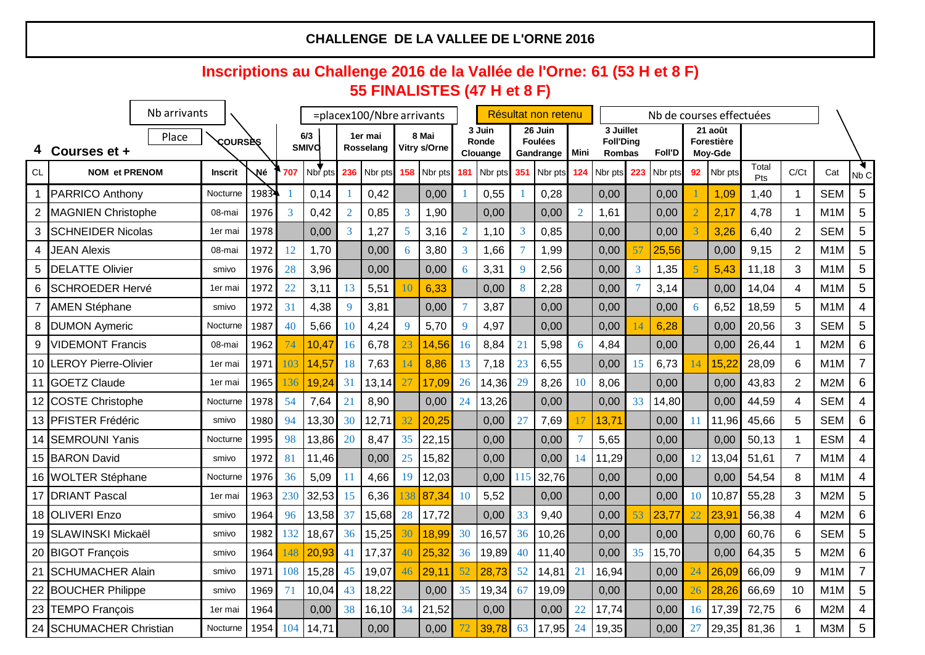|       |                             | Nb arrivants<br>$=$ placex100/Nbre arrivants |                |                 |     |                     |                | Résultat non retenu         |           |                       |                | Nb de courses effectuées    |    |                                        |                  |                                         |     |               |                |                                         |              |                 |                  |                 |
|-------|-----------------------------|----------------------------------------------|----------------|-----------------|-----|---------------------|----------------|-----------------------------|-----------|-----------------------|----------------|-----------------------------|----|----------------------------------------|------------------|-----------------------------------------|-----|---------------|----------------|-----------------------------------------|--------------|-----------------|------------------|-----------------|
|       | Courses et +                | Place                                        |                | <b>COURSES</b>  |     | 6/3<br><b>SMIVO</b> |                | 1er mai<br><b>Rosselang</b> |           | 8 Mai<br>Vitry s/Orne |                | 3 Juin<br>Ronde<br>Clouange |    | 26 Juin<br><b>Foulées</b><br>Gandrange | l Mini           | 3 Juillet<br><b>Foll'Ding</b><br>Rombas |     | <b>Foll'D</b> |                | 21 août<br><b>Forestière</b><br>Moy-Gde |              |                 |                  |                 |
| CL    | <b>NOM et PRENOM</b>        |                                              | <b>Inscrit</b> | Né              | 707 | Nbr pts             | 236            | Nbr pts                     |           | 158 Nbr pts           | 181            | Nbr pts 351                 |    | Nbr pts                                | 124 <sub>1</sub> | Nbr pts                                 | 223 | Nbr pts       | 92             | Nbr pts                                 | Total<br>Pts | C/Ct            | Cat              | Nb <sub>C</sub> |
|       | <b>PARRICO Anthony</b>      |                                              | Nocturne       | 1983            |     | 0,14                |                | 0,42                        |           | 0,00                  |                | 0,55                        |    | 0,28                                   |                  | 0,00                                    |     | 0,00          |                | 1,09                                    | 1,40         |                 | <b>SEM</b>       | 5               |
|       | <b>MAGNIEN Christophe</b>   |                                              | 08-mai         | 1976            | 3   | 0,42                | $\overline{2}$ | 0,85                        |           | $1,90$ $ $            |                | 0,00                        |    | 0,00                                   |                  | 1,61                                    |     | 0,00          | $\overline{2}$ | 2,17                                    | 4,78         |                 | M <sub>1</sub> M | $5\phantom{1}$  |
| 3     | <b>SCHNEIDER Nicolas</b>    |                                              | 1er mai        | 1978            |     | 0,00                | 3              | 1,27                        |           | 3,16                  | $\overline{2}$ | 1,10                        |    | 0,85                                   |                  | 0,00                                    |     | 0,00          |                | 3,26                                    | 6,40         | $\overline{2}$  | <b>SEM</b>       | 5               |
| 4     | <b>JEAN Alexis</b>          |                                              | 08-mai         | 1972            | 12  | 1,70                |                | 0,00                        |           | 3,80                  | 3              | 1,66                        |    | 1,99                                   |                  | 0,00                                    |     | 25,56         |                | 0,00                                    | 9,15         | $\overline{2}$  | M <sub>1</sub> M | 5               |
| 5     | <b>IDELATTE Olivier</b>     |                                              | smivo          | 1976            | 28  | 3,96                |                | 0,00                        |           | 0,00                  | $\sigma$       | 3,31                        |    | 2,56                                   |                  | 0,00                                    |     | 1,35          |                | 5,43                                    | 11,18        | 3 <sup>1</sup>  | M <sub>1</sub> M | 5               |
| 6     | <b>SCHROEDER Hervé</b>      |                                              | 1er mai        | 1972            | 22  | 3,11                | 13             | 5,51                        |           | 6,33                  |                | 0,00                        |    | 2,28                                   |                  | 0,00                                    |     | 3,14          |                | 0,00                                    | 14,04        | 4               | M <sub>1</sub> M | 5               |
|       | <b>AMEN Stéphane</b>        |                                              | smivo          | 1972            | 31  | 4,38                | <b>9</b>       | 3,81                        |           | 0,00                  |                | 3,87                        |    | 0,00                                   |                  | 0,00                                    |     | 0,00          | 6              | 6,52                                    | 18,59        | 5               | M <sub>1</sub> M | 4               |
| 8     | <b>DUMON Aymeric</b>        |                                              | Nocturne       | 1987            | 40  | 5,66                | <b>10</b>      | 4,24                        |           | 5,70                  | 9              | 4,97                        |    | 0,00                                   |                  | 0,00                                    |     | 6,28          |                | 0,00                                    | 20,56        | 3 <sup>1</sup>  | <b>SEM</b>       | 5               |
| 9     | <b>VIDEMONT Francis</b>     |                                              | 08-mai         | 1962            | 74  | 10,47               | 16             | 6,78                        | 23        | 14,56                 | <b>16</b>      | 8,84                        | 21 | 5,98                                   |                  | 4,84                                    |     | 0,00          |                | 0,00                                    | 26,44        |                 | M <sub>2</sub> M | 6               |
| 10 II | <b>LEROY Pierre-Olivier</b> |                                              | 1er mai        | 1971            | 103 | 14,57               | 18             | 7,63                        |           | 8,86                  | 13             | 7,18                        | 23 | 6,55                                   |                  | 0,00                                    | 15  | 6,73          | I 4            | 15,22                                   | 28,09        | 6               | M <sub>1</sub> M | $\overline{7}$  |
|       | 11 GOETZ Claude             |                                              | 1er mai        | 1965            | 136 | 19,24               | 31             | $13,14$ 27                  |           | 17,09                 | 26             | 14,36                       | 29 | 8,26                                   | 10               | 8,06                                    |     | 0,00          |                | 0,00                                    | 43,83        | $\overline{2}$  | M <sub>2</sub> M | 6               |
|       | 12 COSTE Christophe         |                                              | Nocturne       | 1978            | 54  | 7,64                | 21             | 8,90                        |           | 0,00                  | 24             | 13,26                       |    | 0,00                                   |                  | 0,00                                    | 33  | 14,80         |                | 0,00                                    | 44,59        | 4               | <b>SEM</b>       | 4               |
|       | 13 PFISTER Frédéric         |                                              | smivo          | 1980            | 94  | 13,30               | 30             | 12,71                       | 32        | 20,25                 |                | 0,00                        |    | 7,69                                   |                  | 13,71                                   |     | 0,00          |                | 11,96                                   | 45,66        | 5               | <b>SEM</b>       | 6               |
|       | 14 SEMROUNI Yanis           |                                              | Nocturne       | 1995            | 98  | 13,86               | 20             | 8,47                        | 35        | 22,15                 |                | 0,00                        |    | 0,00                                   |                  | 5,65                                    |     | 0,00          |                | 0,00                                    | 50,13        |                 | <b>ESM</b>       | 4               |
|       | 15 BARON David              |                                              | smivo          | 1972            | 81  | 11,46               |                | 0,00                        | 25        | 15,82                 |                | 0,00                        |    | 0,00                                   | 14               | 11,29                                   |     | 0,00          | 12             | 13,04                                   | 51,61        |                 | M <sub>1</sub> M | $\overline{4}$  |
|       | 16 WOLTER Stéphane          |                                              | Nocturne       | 1976            | 36  | 5,09                | <sup>11</sup>  | 4,66                        | <b>19</b> | 12,03                 |                | 0,00                        |    | 32,76                                  |                  | 0,00                                    |     | 0,00          |                | 0,00                                    | 54,54        | 8               | M <sub>1</sub> M | $\overline{4}$  |
|       | 17 DRIANT Pascal            |                                              | 1er mai        | 1963            | 230 | 32,53               | 15             | 6,36                        | 138       | 87,34                 | 10             | 5,52                        |    | 0,00                                   |                  | 0,00                                    |     | 0,00          | 10             | 10,87                                   | 55,28        | 3 <sup>1</sup>  | M <sub>2</sub> M | $5\overline{)}$ |
|       | 18 OLIVERI Enzo             |                                              | smivo          | 1964            | 96  | 13,58               | 37             | 15,68                       | 28        | 17,72                 |                | 0,00                        | 33 | 9,40                                   |                  | 0,00                                    | 53  | 23,77         | 22             | 23,91                                   | 56,38        | 4               | M <sub>2</sub> M | 6               |
|       | 19 SLAWINSKI Mickaël        |                                              | smivo          | 1982            | 132 | 18,67               | 36             | $15,25$ 30                  |           | 18,99                 | 30             | 16,57                       | 36 | 10,26                                  |                  | 0,00                                    |     | 0,00          |                | 0,00                                    | 60,76        | 6               | <b>SEM</b>       | $5\overline{)}$ |
|       | 20 BIGOT François           |                                              | smivo          | 1964            | 148 | 20,93               | 41             | $17,37$ 40                  |           | 25,32                 | 36             | 19,89                       | 40 | 11,40                                  |                  | 0,00                                    | 35  | 15,70         |                | 0,00                                    | 64,35        | 5               | M2M              | 6               |
|       | 21 SCHUMACHER Alain         |                                              | smivo          | 1971            | 108 | 15,28               | 45             | $19,07$ 46                  |           | 29,11                 | 52             | 28,73                       | 52 | 14,81                                  | 21               | 16,94                                   |     | 0,00          | 24             | 26,09                                   | 66,09        | 9               | M <sub>1</sub> M | $\overline{7}$  |
|       | 22 BOUCHER Philippe         |                                              | smivo          | 1969            | 71  | 10,04               | 43             | 18,22                       |           | 0,00                  | 35             | 19,34                       | 67 | 19,09                                  |                  | 0,00                                    |     | 0,00          | 26             | 28,26                                   | 66,69        | 10 <sup>°</sup> | M1M              | $5\overline{)}$ |
|       | 23 TEMPO François           |                                              | 1er mai        | 1964            |     | 0,00                | 38             | 16,10 34                    |           | 21,52                 |                | 0,00                        |    | 0,00                                   | 22               | 17,74                                   |     | 0,00          | 16             | 17,39                                   | 72,75        | $6^{\circ}$     | M2M              | 4               |
|       | 24 SCHUMACHER Christian     |                                              |                | Nocturne   1954 | 104 | 14,71               |                | 0,00                        |           | 0,00                  |                | 39,78                       | 63 | 17,95                                  | 24               | 19,35                                   |     | 0,00          | 27             |                                         | 29,35 81,36  |                 | M3M 5            |                 |

#### **CHALLENGE DE LA VALLEE DE L'ORNE 2016**

# **Inscriptions au Challenge 2016 de la Vallée de l'Orne: 61 (53 H et 8 F) 55 FINALISTES (47 H et 8 F)**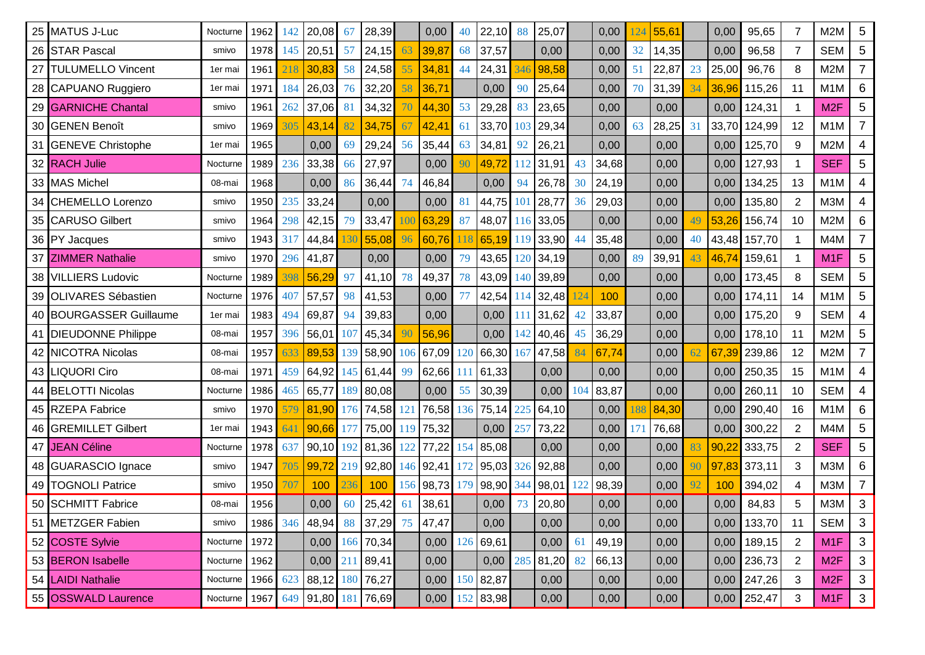|                 | 25 MATUS J-Luc            | Nocturne        | 1962 | 142 | 20,08                                 | 67  | 28,39       |     | 0,00                | 40  | 22,10                                               | 88           | 25,07          |    | 0,00      | 24 | 55,61 |    | 0,00  | 95,65           | $\overline{7}$  | M <sub>2</sub> M     | 5               |
|-----------------|---------------------------|-----------------|------|-----|---------------------------------------|-----|-------------|-----|---------------------|-----|-----------------------------------------------------|--------------|----------------|----|-----------|----|-------|----|-------|-----------------|-----------------|----------------------|-----------------|
|                 | 26 STAR Pascal            | smivo           | 1978 | 145 | 20,51                                 | 57  | 24,15       | -63 | 39,87               | 68  | 37,57                                               |              | 0,00           |    | 0,00      | 32 | 14,35 |    | 0,00  | 96,58           | $\overline{7}$  | <b>SEM</b>           | 5               |
| 27 <sup>1</sup> | <b>TULUMELLO Vincent</b>  | 1er mai         | 1961 | 218 | 30,83                                 | 58  | 24,58       | 55  | 34,8'               | -44 | 24,31                                               |              | 98,58          |    | 0,00      | 51 | 22,87 | 23 | 25,00 | 96,76           | 8               | M2M                  | $\overline{7}$  |
|                 | 28 CAPUANO Ruggiero       | 1er mai         | 1971 | 184 | 26,03                                 | 76  | 32,20       |     | 36,71               |     | 0,00                                                | 90           | 25,64          |    | 0,00      | 70 | 31,39 | 34 | 36,96 | 115,26          | 11              | M <sub>1</sub> M     | 6               |
|                 | 29 GARNICHE Chantal       | smivo           | 1961 | 262 | 37,06                                 | 81  | 34,32       |     | 44,30               | 53  | 29,28                                               |              | 23,65          |    | 0,00      |    | 0,00  |    | 0,00  | 124,31          |                 | M <sub>2</sub> F     | 5               |
|                 | 30 GENEN Benoît           | smivo           | 1969 | 305 | 43,14                                 | 82  | 34,75       | 67  | 42,41               | 61  | 33,70                                               |              | 29,34          |    | 0,00      | 63 | 28,25 | 31 | 33,70 | 124,99          | 12              | M <sub>1</sub> M     |                 |
|                 | 31 GENEVE Christophe      | 1er mai         | 1965 |     | 0,00                                  | 69  | 29,24 56    |     | 35,44               | 63  | 34,81                                               | 92           | 26,21          |    | 0,00      |    | 0,00  |    | 0,00  | 125,70          | 9               | M <sub>2</sub> M     | 4               |
|                 | 32 RACH Julie             | Nocturne        | 1989 | 236 | 33,38                                 | 66  | 27,97       |     | 0,00                | 90  | 49,72                                               |              | $\sqrt{31,91}$ | 43 | 34,68     |    | 0,00  |    | 0,00  | 127,93          |                 | <b>SEF</b>           | 5               |
|                 | 33 MAS Michel             | 08-mai          | 1968 |     | 0,00                                  | 86  | 36,44 74    |     | 46,84               |     | 0,00                                                | 94           | 26,78          | 30 | 24,19     |    | 0,00  |    | 0,00  | 134,25          | 13              | M <sub>1</sub> M     | 4               |
|                 | 34 CHEMELLO Lorenzo       | smivo           | 1950 | 235 | 33,24                                 |     | 0,00        |     | 0,00                | 81  | 44,75                                               | $10^{\circ}$ | 28,77          | 36 | 29,03     |    | 0,00  |    | 0,00  | 135,80          | $\overline{2}$  | <b>M3M</b>           | 4               |
|                 | 35 CARUSO Gilbert         | smivo           | 1964 | 298 | 42,15                                 | 79  | $33,47$ 100 |     | 63,29               | 87  | 48,07'                                              |              | $116$ 33,05    |    | 0,00      |    | 0,00  |    | 53,26 | 156,74          | 10              | M2M                  | 6               |
|                 | 36 PY Jacques             | smivo           | 1943 | 317 | 44,84 130                             |     | $55,08$ 96  |     | 60,76               | 118 | 65,19                                               |              | $119$ 33,90    |    | 35,48     |    | 0,00  | 40 |       | 43,48 157,70    |                 | M4M                  |                 |
|                 | 37 ZIMMER Nathalie        | smivo           | 1970 | 296 | 41,87                                 |     | 0,00        |     | 0,00                | 79  | 43,65                                               | 120          | ∫34,19         |    | 0,00      | 89 | 39,91 | 43 | 46,74 | 159,61          |                 | M <sub>1</sub> F     | 5               |
|                 | 38 VILLIERS Ludovic       | Nocturne        | 1989 | 398 | 56,29                                 | 97  | 41,10 78    |     | 49,37               | 78  | 43,09                                               | 140          | 39,89          |    | 0,00      |    | 0,00  |    | 0,00  | 173,45          | 8               | <b>SEM</b>           | 5               |
|                 | 39 OLIVARES Sébastien     | Nocturne        | 1976 | 407 | 57,57                                 | -98 | 41,53       |     | 0,00                |     | 42,54                                               |              | $114$ 32,48    |    | 100       |    | 0,00  |    | 0,00  | 174,11          | 14              | M <sub>1</sub> M     | $5\phantom{1}$  |
|                 | 40 BOURGASSER Guillaume   | 1er mai         | 1983 | 494 | 69,87                                 | -94 | 39,83       |     | 0,00                |     | 0,00                                                |              | 31,62          | 42 | 33,87     |    | 0,00  |    | 0,00  | 175,20          | 9               | <b>SEM</b>           | 4               |
|                 | 41 DIEUDONNE Philippe     | 08-mai          | 1957 | 396 | 56,01 107                             |     | 45,34       |     | 56,96               |     | 0,00                                                | $\Delta$     | 40,46          | 45 | 36,29     |    | 0,00  |    | 0,00  | 178,10          | 11              | M <sub>2</sub> M     | $5\phantom{1}$  |
|                 | 42 <b>NICOTRA Nicolas</b> | 08-mai          | 1957 | 633 | 89,53                                 | 139 |             |     | 58,90 106 67,09 120 |     | 66,30                                               | 167          | 47,58          |    | 67,74     |    | 0,00  | 62 | 67,39 | 239,86          | 12              | M2M                  |                 |
|                 | 43 LIQUORI Ciro           | 08-mai          |      |     | 1971   459   64,92   145   61,44   99 |     |             |     |                     |     | $\begin{bmatrix} 62,66 & 111 & 61,33 \end{bmatrix}$ |              | 0,00           |    | 0,00      |    | 0,00  |    |       | $0,00$   250,35 | 15              | $M1M$ $\blacksquare$ | $\overline{4}$  |
|                 | 44 BELOTTI Nicolas        | Nocturne        | 1986 |     | 465 65,77 189 80,08                   |     |             |     | 0,00                |     | 55 30,39                                            |              | 0,00           |    | 104 83,87 |    | 0,00  |    | 0,00  | 260,11          | 10 <sup>°</sup> | SEM                  | $\overline{4}$  |
|                 | 45 RZEPA Fabrice          | smivo           |      |     | 1970 579 81,90 176 74,58 121          |     |             |     |                     |     | 76,58 136 75,14 225                                 |              | 64, 10         |    | 0,00      |    | 84,30 |    | 0,00  | 290,40          | 16              | M <sub>1</sub> M     | 6               |
|                 | 46 GREMILLET Gilbert      | 1er mai         | 1943 | 641 | 90,66 177                             |     |             |     | 75,00 119 75,32     |     | 0,00                                                | $25^\circ$   | 73,22          |    | 0,00      |    | 76,68 |    | 0,00  | 300,22          | $\overline{2}$  | M4M                  | $5\overline{)}$ |
|                 | 47 JEAN Céline            | Nocturne   1978 |      | 637 |                                       |     |             |     |                     |     | 90,10  192   81,36   122   77,22   154   85,08      |              | 0,00           |    | 0,00      |    | 0,00  | 83 |       | 90,22 333,75    | $\overline{2}$  | <b>SEF</b>           | $5\overline{)}$ |
|                 | 48 GUARASCIO Ignace       | smivo           | 1947 | 705 |                                       |     |             |     |                     |     | 99,72 219 92,80 146 92,41 172 95,03 326 92,88       |              |                |    | 0,00      |    | 0,00  |    |       | 97,83 373,11    | 3 <sup>1</sup>  | M3M                  | 6               |
|                 | 49   TOGNOLI Patrice      | smivo           | 1950 | 707 | 100                                   | 236 | 100         |     |                     |     | 156 98,73 179 98,90 344                             |              | 98,01          |    | 98,39     |    | 0,00  |    | 100   | 394,02          | 4               | M3M                  |                 |
|                 | 50 SCHMITT Fabrice        | 08-mai          | 1956 |     | 0,00                                  | 60  | $25,42$ 61  |     | 38,61               |     | 0,00                                                |              | 20,80          |    | 0,00      |    | 0,00  |    | 0,00  | 84,83           | 5               | МЗМ                  | $\mathbf{3}$    |
|                 | 51 METZGER Fabien         | smivo           | 1986 | 346 | 48,94 88                              |     | 37,29 75    |     | 47,47               |     | 0,00                                                |              | 0,00           |    | 0,00      |    | 0,00  |    | 0,00  | 133,70          | 11              | SEM                  | 3               |
|                 | 52 COSTE Sylvie           | Nocturne   1972 |      |     | 0,00                                  |     | $166$ 70,34 |     | 0,00                |     | 126 69,61                                           |              | 0,00           | 61 | 49,19     |    | 0,00  |    | 0,00  | 189,15          | $\overline{2}$  | M <sub>1</sub> F     | 3               |
|                 | 53 BERON Isabelle         | Nocturne   1962 |      |     | 0,00                                  | 211 | 89,41       |     | 0,00                |     | 0,00                                                | 285          | 81,20          | 82 | 66,13     |    | 0,00  |    | 0,00  | 236,73          | $\overline{2}$  | M <sub>2</sub> F     | 3               |
|                 | 54 LAIDI Nathalie         | Nocturne   1966 |      | 623 | 88,12 180                             |     | 76,27       |     | 0,00                |     | 150 82,87                                           |              | 0,00           |    | 0,00      |    | 0,00  |    | 0,00  | 247,26          | 3               | M2F                  | 3               |
|                 | 55 OSSWALD Laurence       | Nocturne   1967 |      |     | $649$   91,80   181   76,69           |     |             |     | 0,00                |     | 152   83,98                                         |              | 0,00           |    | 0,00      |    | 0,00  |    | 0,00  | 252,47          | 3 <sup>1</sup>  | M <sub>1</sub> F     | $\mathbf{3}$    |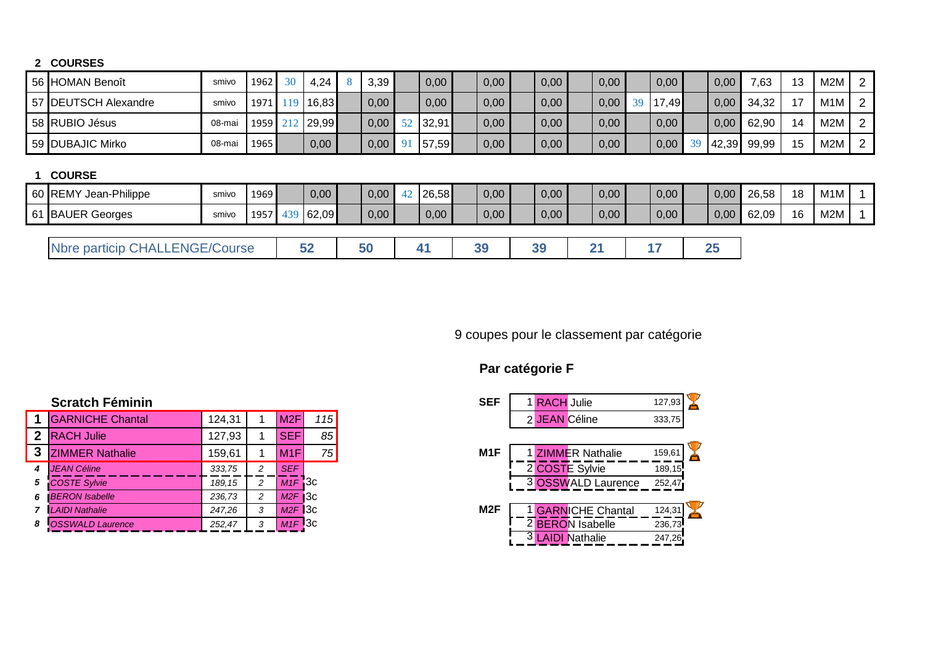#### **COURSES**

| 56 HOMAN Benoît       | smivo  | 1962 | 30 | 4,24          | 3,39 |    | 0,00  | 0,00 | 0,00 | 0,00 |    | 0,00  | 0,00  | 7,63  | 13 | M <sub>2</sub> M | $\overline{2}$ |
|-----------------------|--------|------|----|---------------|------|----|-------|------|------|------|----|-------|-------|-------|----|------------------|----------------|
| 57 DEUTSCH Alexandre  | smivo  |      |    | 1971 19 16,83 | 0,00 |    | 0,00  | 0,00 | 0,00 | 0,00 | 39 | 17,49 | 0,00  | 34,32 | 17 | M <sub>1</sub> M | 2              |
| 58 RUBIO Jésus        | 08-mai | 1959 |    | 212 29,99     | 0,00 | 52 | 32,91 | 0,00 | 0,00 | 0,00 |    | 0,00  | 0,00  | 62,90 | 14 | M <sub>2</sub> M | 2              |
| 59 DUBAJIC Mirko      | 08-mai | 1965 |    | 0,00          | 0,00 | 91 | 57,59 | 0,00 | 0,00 | 0,00 |    | 0,00  | 42,39 | 99,99 | 15 | M2M              | $\overline{2}$ |
|                       |        |      |    |               |      |    |       |      |      |      |    |       |       |       |    |                  |                |
| <b>COURSE</b>         |        |      |    |               |      |    |       |      |      |      |    |       |       |       |    |                  |                |
| 60 REMY Jean-Philippe | smivo  | 1969 |    | 0,00          | 0,00 | 42 | 26,58 | 0,00 | 0,00 | 0,00 |    | 0,00  | 0,00  | 26,58 | 18 | M <sub>1</sub> M |                |
| 61 BAUER Georges      | smivo  | 1957 |    | 439 62,09     | 0,00 |    | 0,00  | 0,00 | 0,00 | 0,00 |    | 0,00  | 0,00  | 62,09 | 16 | M2M              |                |

9 coupes pour le classement par catégorie

# **Par catégorie F**

|                | <b>GARNICHE Chantal</b>  | 124,31 |   | M <sub>2F</sub>      | 115 |                  | 2 JEAN Céline           | 333,75 |
|----------------|--------------------------|--------|---|----------------------|-----|------------------|-------------------------|--------|
| 2 <sup>1</sup> | <b>IRACH Julie</b>       | 127,93 |   | <b>SEF</b>           | 85  |                  |                         |        |
|                | <b>3 ZIMMER Nathalie</b> | 159.61 |   | M1F                  | 75  | M <sub>1</sub> F | <b>ZIMMER Nathalie</b>  | 159,61 |
| 4              | <b>JEAN Céline</b>       | 333,75 |   | <b>SEF</b>           |     |                  | 2 COSTE Sylvie          | 189,15 |
| 5              | <b>COSTE Sylvie</b>      | 189.15 |   | $M1F$ 3c             |     |                  | 3 OSSWALD Laurence      | 252,47 |
| 6              | <b>BERON Isabelle</b>    | 236,73 |   | $M2F$ $3c$           |     |                  |                         |        |
|                | <b>LAIDI Nathalie</b>    | 247,26 | ົ | $M2F$ 3c             |     | M <sub>2</sub> F | <b>GARNICHE Chantal</b> | 124,31 |
|                | <b>OSSWALD Laurence</b>  | 252,47 |   | $M1F$ <sup>3</sup> C |     |                  | <b>BERON Isabelle</b>   | 236,73 |

| <b>SEF</b>       | 1 RACH Julie                            | 127,93 |
|------------------|-----------------------------------------|--------|
|                  | 2 JEAN Céline                           | 333,75 |
|                  |                                         |        |
| M <sub>1</sub> F | 1 ZIMMER Nathalie                       | 159,61 |
|                  | 2 COSTE Sylvie                          | 189,15 |
|                  | 3 OSSWALD Laurence                      | 252,47 |
|                  |                                         |        |
| M <sub>2</sub> F | <b>GARNICHE Chantal</b>                 | 124,31 |
|                  | 2 <sup>1</sup><br><b>BERON</b> Isabelle | 236,73 |
|                  | <b>AIDI Nathalie</b>                    | 247,26 |
|                  |                                         |        |

## **Scratch Féminin**